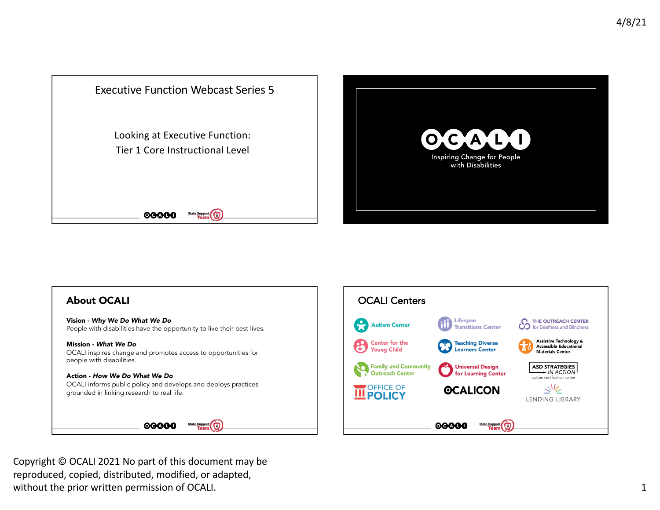





 Copyright © OCALI 2021 No part of this document may be reproduced, copied, distributed, modified, or adapted, without the prior written permission of OCALI. The state of the state of the state of the state of the state of the state of the state of the state of the state of the state of the state of the state of the state of the st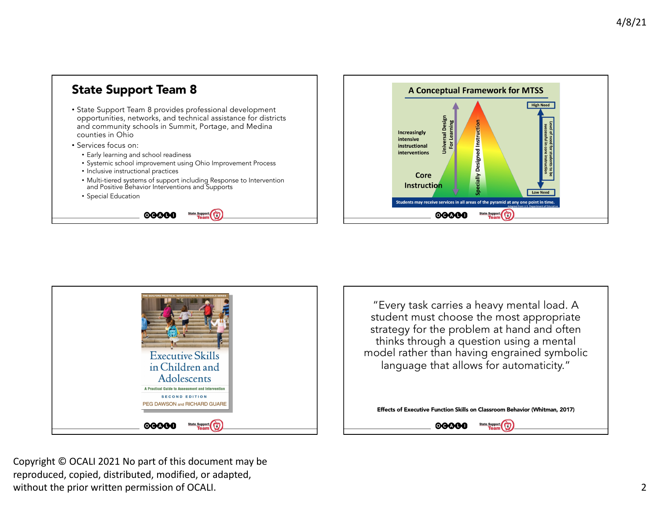





 "Every task carries a heavy mental load. A student must choose the most appropriate strategy for the problem at hand and often model rather than having engrained symbolic thinks through a question using a mental language that allows for automaticity."

Effects of Executive Function Skills on Classroom Behavior (Whitman, 2017)

**State Support** 

Ő

00000

 Copyright © OCALI 2021 No part of this document may be reproduced, copied, distributed, modified, or adapted, without the prior written permission of OCALI. 2002 2022 2023 2024 2028 2024 2024 2028 2024 2028 2029 2024 202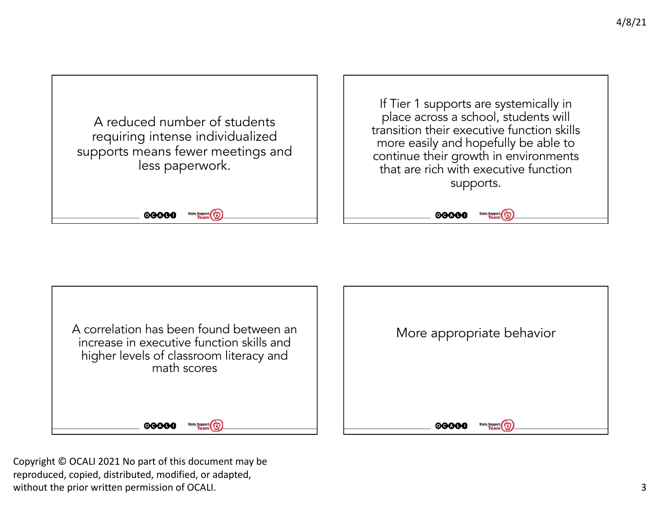



 Copyright © OCALI 2021 No part of this document may be reproduced, copied, distributed, modified, or adapted, without the prior written permission of OCALI.  $\qquad \qquad \qquad$  3